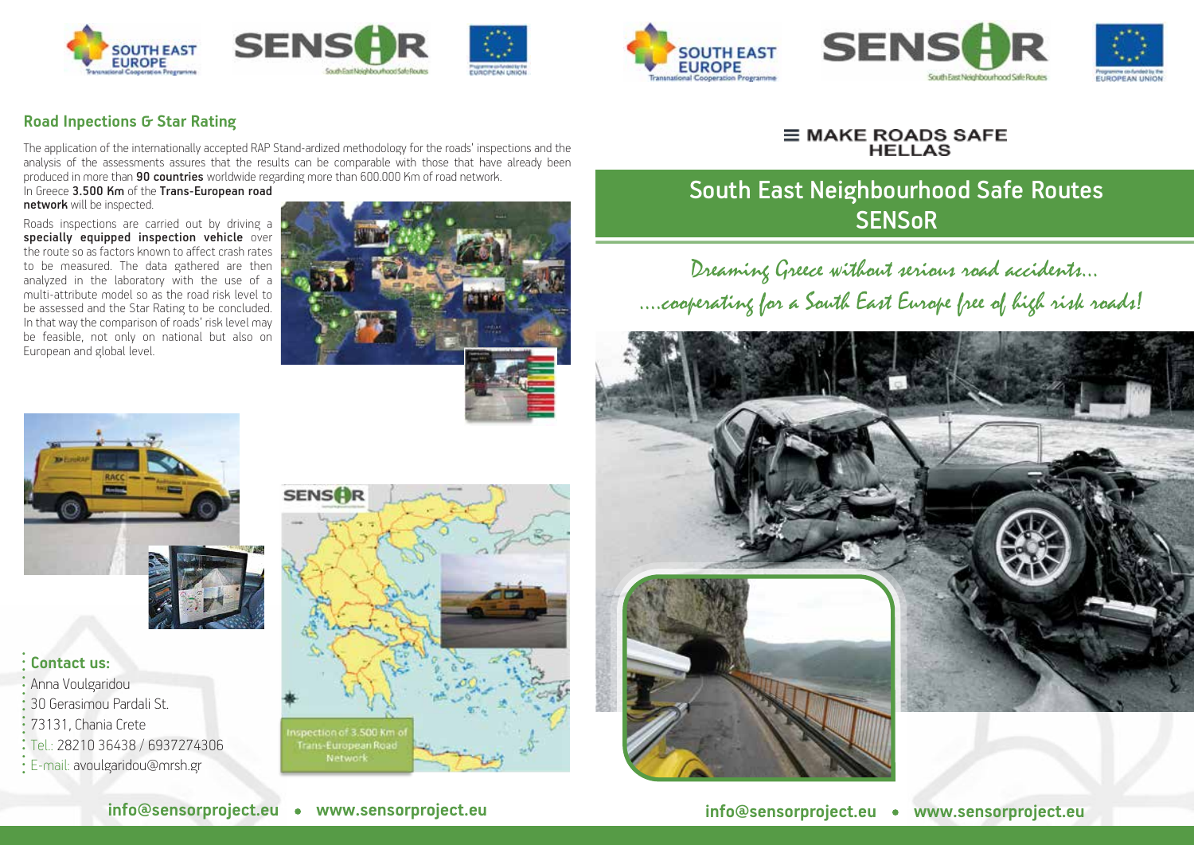











The application of the internationally accepted RAP Stand-ardized methodology for the roads' inspections and the analysis of the assessments assures that the results can be comparable with those that have already been produced in more than 90 countries worldwide regarding more than 600.000 Km of road network. In Greece 3.500 Km of the Trans-European road

network will be inspected.

Roads inspections are carried out by driving a specially equipped inspection vehicle over<br>the route so as factors known to affect crash rates to be measured. The data gathered are then analyzed in the laboratory with the use of a multi-attribute model so as the road risk level to be assessed and the Star Rating to be concluded. In that way the comparison of roads' risk level may be feasible, not only on national but also on European and global level.



# $\equiv$  MAKE ROADS SAFE

## South East Neighbourhood Safe Routes **SENSOR**

Dreaming Greece without serious road accidents… ….cooperating for a South East Europe free of high risk roads!





### **Contact us:**

**................**

: Anna Voulgaridou 30 Gerasimou Pardali St. 73131, Chania Crete Tel.: 28210 36438 / 6937274306 E-mail: avoulgaridou@mrsh.gr